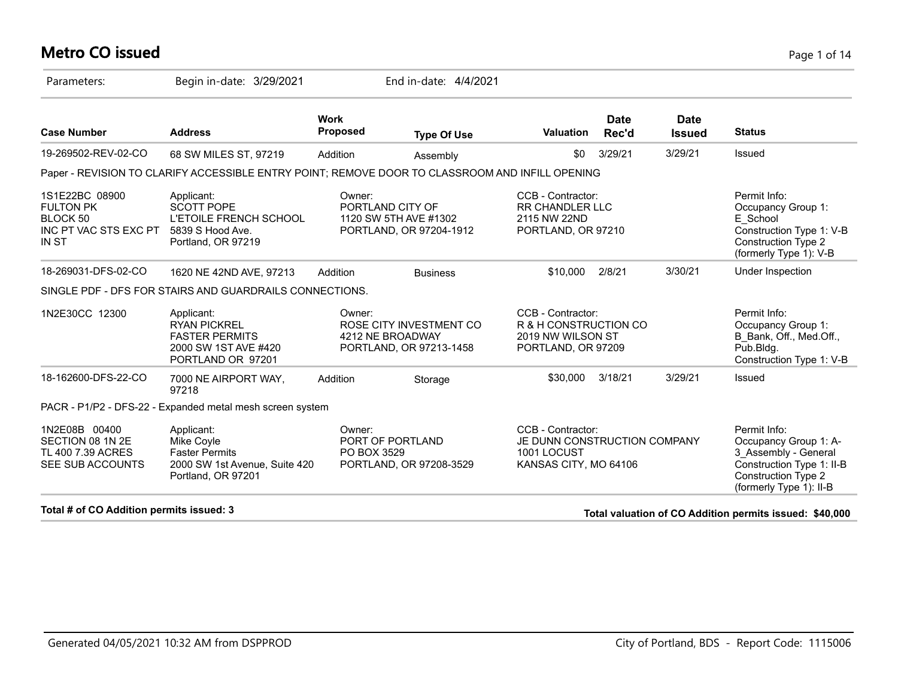#### **Metro CO issued** Page 1 of 14

| Parameters:                                                                             | Begin in-date: 3/29/2021                                                                                   |                                | End in-date: 4/4/2021                                                  |                                                                                           |                      |                              |                                                                                                                                              |
|-----------------------------------------------------------------------------------------|------------------------------------------------------------------------------------------------------------|--------------------------------|------------------------------------------------------------------------|-------------------------------------------------------------------------------------------|----------------------|------------------------------|----------------------------------------------------------------------------------------------------------------------------------------------|
| <b>Case Number</b>                                                                      | <b>Address</b>                                                                                             | <b>Work</b><br><b>Proposed</b> | <b>Type Of Use</b>                                                     | <b>Valuation</b>                                                                          | <b>Date</b><br>Rec'd | <b>Date</b><br><b>Issued</b> | <b>Status</b>                                                                                                                                |
| 19-269502-REV-02-CO                                                                     | 68 SW MILES ST, 97219                                                                                      | Addition                       | Assembly                                                               | \$0                                                                                       | 3/29/21              | 3/29/21                      | Issued                                                                                                                                       |
|                                                                                         | Paper - REVISION TO CLARIFY ACCESSIBLE ENTRY POINT; REMOVE DOOR TO CLASSROOM AND INFILL OPENING            |                                |                                                                        |                                                                                           |                      |                              |                                                                                                                                              |
| 1S1E22BC 08900<br><b>FULTON PK</b><br>BLOCK 50<br>INC PT VAC STS EXC PT<br><b>IN ST</b> | Applicant:<br><b>SCOTT POPE</b><br><b>L'ETOILE FRENCH SCHOOL</b><br>5839 S Hood Ave.<br>Portland, OR 97219 | Owner:                         | PORTLAND CITY OF<br>1120 SW 5TH AVE #1302<br>PORTLAND, OR 97204-1912   | CCB - Contractor:<br><b>RR CHANDLER LLC</b><br>2115 NW 22ND<br>PORTLAND, OR 97210         |                      |                              | Permit Info:<br>Occupancy Group 1:<br>E School<br>Construction Type 1: V-B<br><b>Construction Type 2</b><br>(formerly Type 1): V-B           |
| 18-269031-DFS-02-CO                                                                     | 1620 NE 42ND AVE, 97213                                                                                    | Addition                       | <b>Business</b>                                                        | \$10,000                                                                                  | 2/8/21               | 3/30/21                      | Under Inspection                                                                                                                             |
|                                                                                         | SINGLE PDF - DFS FOR STAIRS AND GUARDRAILS CONNECTIONS.                                                    |                                |                                                                        |                                                                                           |                      |                              |                                                                                                                                              |
| 1N2E30CC 12300                                                                          | Applicant:<br><b>RYAN PICKREL</b><br><b>FASTER PERMITS</b><br>2000 SW 1ST AVE #420<br>PORTLAND OR 97201    | Owner:                         | ROSE CITY INVESTMENT CO<br>4212 NE BROADWAY<br>PORTLAND, OR 97213-1458 | CCB - Contractor:<br>R & H CONSTRUCTION CO<br>2019 NW WILSON ST<br>PORTLAND, OR 97209     |                      |                              | Permit Info:<br>Occupancy Group 1:<br>B Bank, Off., Med.Off.,<br>Pub.Bldg.<br>Construction Type 1: V-B                                       |
| 18-162600-DFS-22-CO                                                                     | 7000 NE AIRPORT WAY,<br>97218                                                                              | Addition                       | Storage                                                                | \$30,000                                                                                  | 3/18/21              | 3/29/21                      | Issued                                                                                                                                       |
|                                                                                         | PACR - P1/P2 - DFS-22 - Expanded metal mesh screen system                                                  |                                |                                                                        |                                                                                           |                      |                              |                                                                                                                                              |
| 1N2E08B 00400<br>SECTION 08 1N 2E<br>TL 400 7.39 ACRES<br>SEE SUB ACCOUNTS              | Applicant:<br>Mike Coyle<br><b>Faster Permits</b><br>2000 SW 1st Avenue, Suite 420<br>Portland, OR 97201   | Owner:<br>PO BOX 3529          | PORT OF PORTLAND<br>PORTLAND, OR 97208-3529                            | CCB - Contractor:<br>JE DUNN CONSTRUCTION COMPANY<br>1001 LOCUST<br>KANSAS CITY, MO 64106 |                      |                              | Permit Info:<br>Occupancy Group 1: A-<br>3 Assembly - General<br>Construction Type 1: II-B<br>Construction Type 2<br>(formerly Type 1): II-B |
| .                                                                                       |                                                                                                            |                                |                                                                        |                                                                                           |                      |                              |                                                                                                                                              |

**Total # of CO Addition permits issued: 3 Total valuation of CO Addition permits issued: \$40,000**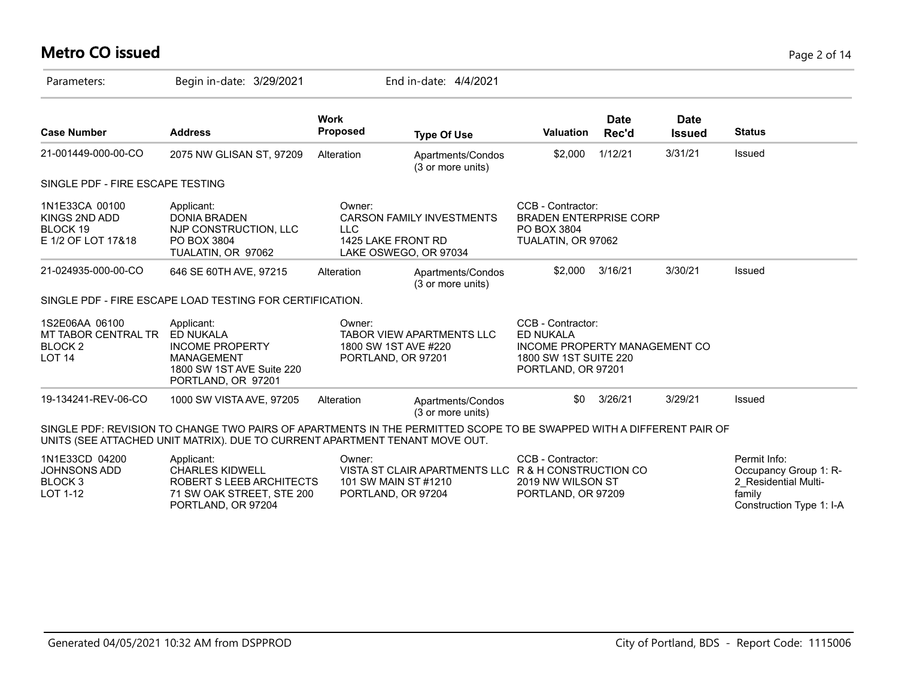# **Metro CO issued** Page 2 of 14

| Parameters:                                                                  | Begin in-date: 3/29/2021                                                                                                                                                                            |                                                                     | End in-date: 4/4/2021                               |                                                                                                                       |                      |                              |                                                                                                     |
|------------------------------------------------------------------------------|-----------------------------------------------------------------------------------------------------------------------------------------------------------------------------------------------------|---------------------------------------------------------------------|-----------------------------------------------------|-----------------------------------------------------------------------------------------------------------------------|----------------------|------------------------------|-----------------------------------------------------------------------------------------------------|
| <b>Case Number</b>                                                           | <b>Address</b>                                                                                                                                                                                      | <b>Work</b><br><b>Proposed</b>                                      | <b>Type Of Use</b>                                  | <b>Valuation</b>                                                                                                      | <b>Date</b><br>Rec'd | <b>Date</b><br><b>Issued</b> | <b>Status</b>                                                                                       |
| 21-001449-000-00-CO                                                          | 2075 NW GLISAN ST, 97209                                                                                                                                                                            | Alteration                                                          | Apartments/Condos<br>(3 or more units)              | \$2,000                                                                                                               | 1/12/21              | 3/31/21                      | Issued                                                                                              |
| SINGLE PDF - FIRE ESCAPE TESTING                                             |                                                                                                                                                                                                     |                                                                     |                                                     |                                                                                                                       |                      |                              |                                                                                                     |
| 1N1E33CA 00100<br>KINGS 2ND ADD<br>BLOCK 19<br>E 1/2 OF LOT 17&18            | Applicant:<br><b>DONIA BRADEN</b><br>NJP CONSTRUCTION, LLC<br>PO BOX 3804<br>TUALATIN, OR 97062                                                                                                     | Owner:<br><b>LLC</b><br>1425 LAKE FRONT RD<br>LAKE OSWEGO, OR 97034 | <b>CARSON FAMILY INVESTMENTS</b>                    | CCB - Contractor:<br><b>BRADEN ENTERPRISE CORP</b><br>PO BOX 3804<br>TUALATIN, OR 97062                               |                      |                              |                                                                                                     |
| 21-024935-000-00-CO                                                          | 646 SE 60TH AVE, 97215                                                                                                                                                                              | Alteration                                                          | Apartments/Condos<br>(3 or more units)              | \$2,000                                                                                                               | 3/16/21              | 3/30/21                      | Issued                                                                                              |
|                                                                              | SINGLE PDF - FIRE ESCAPE LOAD TESTING FOR CERTIFICATION.                                                                                                                                            |                                                                     |                                                     |                                                                                                                       |                      |                              |                                                                                                     |
| 1S2E06AA 06100<br>MT TABOR CENTRAL TR<br>BLOCK <sub>2</sub><br><b>LOT 14</b> | Applicant:<br>ED NUKALA<br><b>INCOME PROPERTY</b><br><b>MANAGEMENT</b><br>1800 SW 1ST AVE Suite 220<br>PORTLAND, OR 97201                                                                           | Owner:<br>1800 SW 1ST AVE #220<br>PORTLAND, OR 97201                | TABOR VIEW APARTMENTS LLC                           | CCB - Contractor:<br><b>ED NUKALA</b><br>INCOME PROPERTY MANAGEMENT CO<br>1800 SW 1ST SUITE 220<br>PORTLAND, OR 97201 |                      |                              |                                                                                                     |
| 19-134241-REV-06-CO                                                          | 1000 SW VISTA AVE, 97205                                                                                                                                                                            | Alteration                                                          | Apartments/Condos<br>(3 or more units)              | \$0                                                                                                                   | 3/26/21              | 3/29/21                      | Issued                                                                                              |
|                                                                              | SINGLE PDF: REVISION TO CHANGE TWO PAIRS OF APARTMENTS IN THE PERMITTED SCOPE TO BE SWAPPED WITH A DIFFERENT PAIR OF<br>UNITS (SEE ATTACHED UNIT MATRIX). DUE TO CURRENT APARTMENT TENANT MOVE OUT. |                                                                     |                                                     |                                                                                                                       |                      |                              |                                                                                                     |
| 1N1E33CD 04200<br>JOHNSONS ADD<br>BLOCK 3<br>LOT 1-12                        | Applicant:<br><b>CHARLES KIDWELL</b><br>ROBERT S LEEB ARCHITECTS<br>71 SW OAK STREET, STE 200<br>PORTLAND, OR 97204                                                                                 | Owner:<br>101 SW MAIN ST #1210<br>PORTLAND, OR 97204                | VISTA ST CLAIR APARTMENTS LLC R & H CONSTRUCTION CO | CCB - Contractor:<br>2019 NW WILSON ST<br>PORTLAND, OR 97209                                                          |                      |                              | Permit Info:<br>Occupancy Group 1: R-<br>2 Residential Multi-<br>family<br>Construction Type 1: I-A |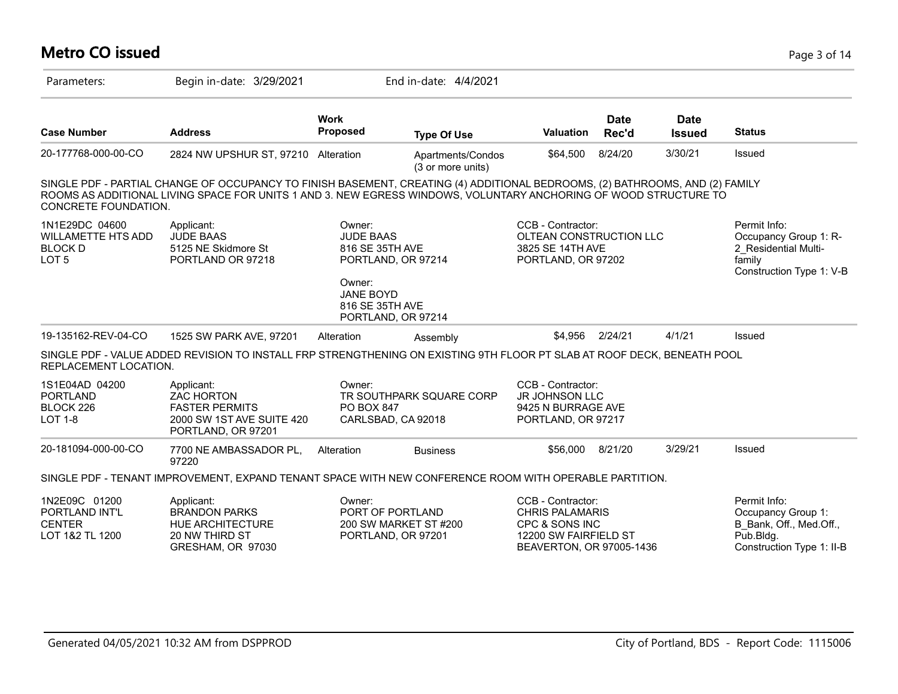| <b>Metro CO issued</b>                                                            |                                                                                                                                                                                                                                                  |                                                                                                               |                                        |                                                                                                                    |                      |                              | Page 3 of 14                                                                                            |
|-----------------------------------------------------------------------------------|--------------------------------------------------------------------------------------------------------------------------------------------------------------------------------------------------------------------------------------------------|---------------------------------------------------------------------------------------------------------------|----------------------------------------|--------------------------------------------------------------------------------------------------------------------|----------------------|------------------------------|---------------------------------------------------------------------------------------------------------|
| Parameters:                                                                       | Begin in-date: 3/29/2021                                                                                                                                                                                                                         |                                                                                                               | End in-date: 4/4/2021                  |                                                                                                                    |                      |                              |                                                                                                         |
| <b>Case Number</b>                                                                | <b>Address</b>                                                                                                                                                                                                                                   | <b>Work</b><br><b>Proposed</b>                                                                                | <b>Type Of Use</b>                     | Valuation                                                                                                          | <b>Date</b><br>Rec'd | <b>Date</b><br><b>Issued</b> | <b>Status</b>                                                                                           |
| 20-177768-000-00-CO                                                               | 2824 NW UPSHUR ST, 97210 Alteration                                                                                                                                                                                                              |                                                                                                               | Apartments/Condos<br>(3 or more units) | \$64,500                                                                                                           | 8/24/20              | 3/30/21                      | <b>Issued</b>                                                                                           |
| <b>CONCRETE FOUNDATION.</b>                                                       | SINGLE PDF - PARTIAL CHANGE OF OCCUPANCY TO FINISH BASEMENT, CREATING (4) ADDITIONAL BEDROOMS, (2) BATHROOMS, AND (2) FAMILY<br>ROOMS AS ADDITIONAL LIVING SPACE FOR UNITS 1 AND 3. NEW EGRESS WINDOWS, VOLUNTARY ANCHORING OF WOOD STRUCTURE TO |                                                                                                               |                                        |                                                                                                                    |                      |                              |                                                                                                         |
| 1N1E29DC 04600<br><b>WILLAMETTE HTS ADD</b><br><b>BLOCK D</b><br>LOT <sub>5</sub> | Applicant:<br><b>JUDE BAAS</b><br>5125 NE Skidmore St<br>PORTLAND OR 97218                                                                                                                                                                       | Owner:<br><b>JUDE BAAS</b><br>816 SE 35TH AVE<br>PORTLAND, OR 97214<br>Owner:<br>JANE BOYD<br>816 SE 35TH AVE |                                        | CCB - Contractor:<br>OLTEAN CONSTRUCTION LLC<br>3825 SE 14TH AVE<br>PORTLAND, OR 97202                             |                      |                              | Permit Info:<br>Occupancy Group 1: R-<br>2 Residential Multi-<br>family<br>Construction Type 1: V-B     |
|                                                                                   |                                                                                                                                                                                                                                                  | PORTLAND, OR 97214                                                                                            |                                        |                                                                                                                    |                      |                              |                                                                                                         |
| 19-135162-REV-04-CO                                                               | 1525 SW PARK AVE, 97201                                                                                                                                                                                                                          | Alteration                                                                                                    | Assembly                               | \$4.956                                                                                                            | 2/24/21              | 4/1/21                       | Issued                                                                                                  |
| REPLACEMENT LOCATION.                                                             | SINGLE PDF - VALUE ADDED REVISION TO INSTALL FRP STRENGTHENING ON EXISTING 9TH FLOOR PT SLAB AT ROOF DECK, BENEATH POOL                                                                                                                          |                                                                                                               |                                        |                                                                                                                    |                      |                              |                                                                                                         |
| 1S1E04AD 04200<br><b>PORTLAND</b><br>BLOCK 226<br>LOT 1-8                         | Applicant:<br><b>ZAC HORTON</b><br><b>FASTER PERMITS</b><br>2000 SW 1ST AVE SUITE 420<br>PORTLAND, OR 97201                                                                                                                                      | Owner:<br><b>PO BOX 847</b><br>CARLSBAD, CA 92018                                                             | TR SOUTHPARK SQUARE CORP               | CCB - Contractor:<br><b>JR JOHNSON LLC</b><br>9425 N BURRAGE AVE<br>PORTLAND, OR 97217                             |                      |                              |                                                                                                         |
| 20-181094-000-00-CO                                                               | 7700 NE AMBASSADOR PL,<br>97220                                                                                                                                                                                                                  | Alteration                                                                                                    | <b>Business</b>                        | \$56,000                                                                                                           | 8/21/20              | 3/29/21                      | <b>Issued</b>                                                                                           |
|                                                                                   | SINGLE PDF - TENANT IMPROVEMENT, EXPAND TENANT SPACE WITH NEW CONFERENCE ROOM WITH OPERABLE PARTITION.                                                                                                                                           |                                                                                                               |                                        |                                                                                                                    |                      |                              |                                                                                                         |
| 1N2E09C 01200<br>PORTLAND INT'L<br><b>CENTER</b><br>LOT 1&2 TL 1200               | Applicant:<br><b>BRANDON PARKS</b><br><b>HUE ARCHITECTURE</b><br>20 NW THIRD ST<br>GRESHAM, OR 97030                                                                                                                                             | Owner:<br>PORT OF PORTLAND<br>PORTLAND, OR 97201                                                              | 200 SW MARKET ST #200                  | CCB - Contractor:<br><b>CHRIS PALAMARIS</b><br>CPC & SONS INC<br>12200 SW FAIRFIELD ST<br>BEAVERTON, OR 97005-1436 |                      |                              | Permit Info:<br>Occupancy Group 1:<br>B Bank, Off., Med.Off.,<br>Pub.Bldg.<br>Construction Type 1: II-B |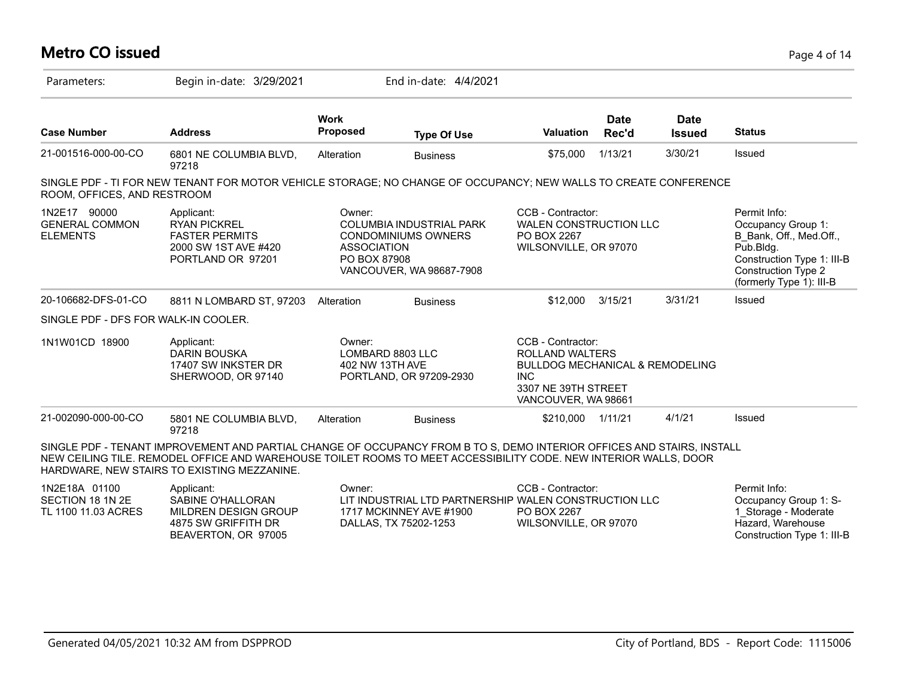#### **Metro CO issued** Page 4 of 14 Parameters: Begin in-date: 3/29/2021 End in-date: 4/4/2021 **Work Case Number Address Proposed Type Of Use Valuation Status Date Rec'd Date Issued** 21-001516-000-00-CO 6801 NE COLUMBIA BLVD, 97218 Alteration Business \$75,000 1/13/21 3/30/21 Issued SINGLE PDF - TI FOR NEW TENANT FOR MOTOR VEHICLE STORAGE; NO CHANGE OF OCCUPANCY; NEW WALLS TO CREATE CONFERENCE ROOM, OFFICES, AND RESTROOM 1N2E17 90000 GENERAL COMMON ELEMENTS Permit Info: Occupancy Group 1: B\_Bank, Off., Med.Off., Pub.Bldg. Construction Type 1: III-B Construction Type 2 (formerly Type 1): III-B CCB - Contractor: WALEN CONSTRUCTION LLC PO BOX 2267 WILSONVILLE, OR 97070 Owner: COLUMBIA INDUSTRIAL PARK CONDOMINIUMS OWNERS ASSOCIATION PO BOX 87908 VANCOUVER, WA 98687-7908 Applicant: RYAN PICKREL FASTER PERMITS 2000 SW 1ST AVE #420 PORTLAND OR 97201 20-106682-DFS-01-CO 8811 N LOMBARD ST, 97203 Alteration Business \$12,000 3/15/21 3/31/21 Issued SINGLE PDF - DFS FOR WALK-IN COOLER. 1N1W01CD 18900 CCB - Contractor: ROLLAND WALTERS BULLDOG MECHANICAL & REMODELING INC 3307 NE 39TH STREET VANCOUVER, WA 98661 Owner: LOMBARD 8803 LLC 402 NW 13TH AVE PORTLAND, OR 97209-2930 Applicant: DARIN BOUSKA 17407 SW INKSTER DR SHERWOOD, OR 97140 21-002090-000-00-CO 5801 NE COLUMBIA BLVD, 97218 Alteration Business \$210,000 1/11/21 4/1/21 Issued SINGLE PDF - TENANT IMPROVEMENT AND PARTIAL CHANGE OF OCCUPANCY FROM B TO S, DEMO INTERIOR OFFICES AND STAIRS, INSTALL NEW CEILING TILE. REMODEL OFFICE AND WAREHOUSE TOILET ROOMS TO MEET ACCESSIBILITY CODE. NEW INTERIOR WALLS, DOOR HARDWARE, NEW STAIRS TO EXISTING MEZZANINE. 1N2E18A 01100 SECTION 18 1N 2E TL 1100 11.03 ACRES Permit Info: Occupancy Group 1: S-1\_Storage - Moderate Hazard, Warehouse CCB - Contractor: LIT INDUSTRIAL LTD PARTNERSHIP WALEN CONSTRUCTION LLC PO BOX 2267 WILSONVILLE, OR 97070 Owner: 1717 MCKINNEY AVE #1900 DALLAS, TX 75202-1253 Applicant: SABINE O'HALLORAN MILDREN DESIGN GROUP 4875 SW GRIFFITH DR

BEAVERTON, OR 97005

Construction Type 1: III-B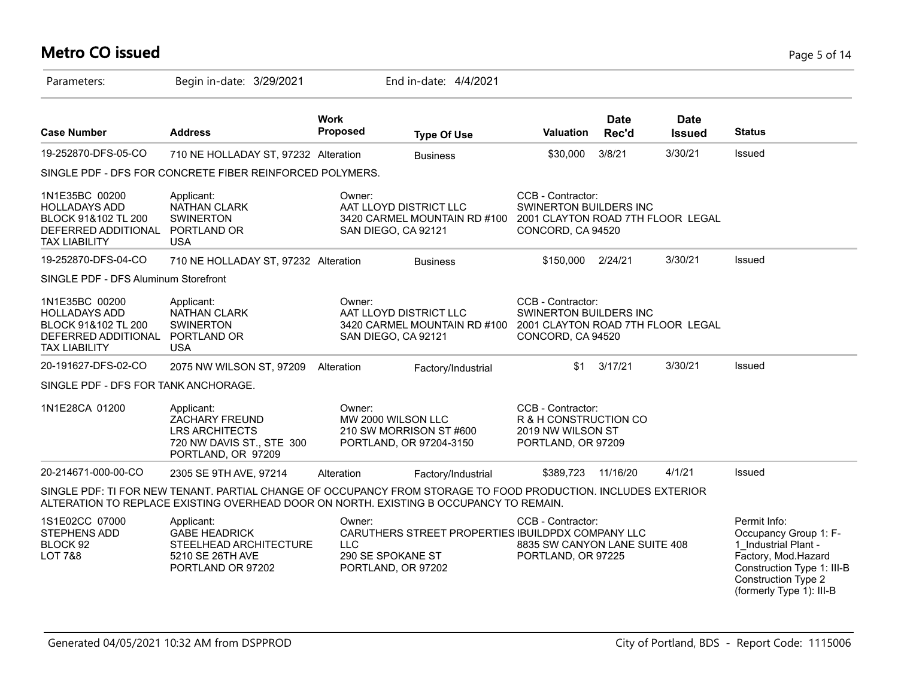# **Metro CO issued** Page 5 of 14

| Parameters:                                                                                                  | Begin in-date: 3/29/2021                                                                                                                                                                                |                                                           | End in-date: 4/4/2021                              |                                                                                                       |                      |                              |                                                                                                                                                                              |
|--------------------------------------------------------------------------------------------------------------|---------------------------------------------------------------------------------------------------------------------------------------------------------------------------------------------------------|-----------------------------------------------------------|----------------------------------------------------|-------------------------------------------------------------------------------------------------------|----------------------|------------------------------|------------------------------------------------------------------------------------------------------------------------------------------------------------------------------|
| <b>Case Number</b>                                                                                           | <b>Address</b>                                                                                                                                                                                          | <b>Work</b><br><b>Proposed</b>                            | <b>Type Of Use</b>                                 | <b>Valuation</b>                                                                                      | <b>Date</b><br>Rec'd | <b>Date</b><br><b>Issued</b> | <b>Status</b>                                                                                                                                                                |
| 19-252870-DFS-05-CO                                                                                          | 710 NE HOLLADAY ST, 97232 Alteration                                                                                                                                                                    |                                                           | <b>Business</b>                                    | \$30,000                                                                                              | 3/8/21               | 3/30/21                      | Issued                                                                                                                                                                       |
|                                                                                                              | SINGLE PDF - DFS FOR CONCRETE FIBER REINFORCED POLYMERS.                                                                                                                                                |                                                           |                                                    |                                                                                                       |                      |                              |                                                                                                                                                                              |
| 1N1E35BC 00200<br><b>HOLLADAYS ADD</b><br>BLOCK 91&102 TL 200<br>DEFERRED ADDITIONAL<br><b>TAX LIABILITY</b> | Applicant:<br><b>NATHAN CLARK</b><br><b>SWINERTON</b><br>PORTLAND OR<br><b>USA</b>                                                                                                                      | Owner:<br>AAT LLOYD DISTRICT LLC<br>SAN DIEGO, CA 92121   | 3420 CARMEL MOUNTAIN RD #100                       | CCB - Contractor:<br>SWINERTON BUILDERS INC<br>2001 CLAYTON ROAD 7TH FLOOR LEGAL<br>CONCORD, CA 94520 |                      |                              |                                                                                                                                                                              |
| 19-252870-DFS-04-CO                                                                                          | 710 NE HOLLADAY ST, 97232 Alteration                                                                                                                                                                    |                                                           | <b>Business</b>                                    | \$150,000                                                                                             | 2/24/21              | 3/30/21                      | Issued                                                                                                                                                                       |
| SINGLE PDF - DFS Aluminum Storefront                                                                         |                                                                                                                                                                                                         |                                                           |                                                    |                                                                                                       |                      |                              |                                                                                                                                                                              |
| 1N1E35BC 00200<br><b>HOLLADAYS ADD</b><br>BLOCK 91&102 TL 200<br>DEFERRED ADDITIONAL<br><b>TAX LIABILITY</b> | Applicant:<br><b>NATHAN CLARK</b><br><b>SWINERTON</b><br>PORTLAND OR<br><b>USA</b>                                                                                                                      | Owner:<br>AAT LLOYD DISTRICT LLC<br>SAN DIEGO, CA 92121   | 3420 CARMEL MOUNTAIN RD #100                       | CCB - Contractor:<br>SWINERTON BUILDERS INC<br>2001 CLAYTON ROAD 7TH FLOOR LEGAL<br>CONCORD, CA 94520 |                      |                              |                                                                                                                                                                              |
| 20-191627-DFS-02-CO                                                                                          | 2075 NW WILSON ST, 97209                                                                                                                                                                                | Alteration                                                | Factory/Industrial                                 | \$1                                                                                                   | 3/17/21              | 3/30/21                      | Issued                                                                                                                                                                       |
| SINGLE PDF - DFS FOR TANK ANCHORAGE.                                                                         |                                                                                                                                                                                                         |                                                           |                                                    |                                                                                                       |                      |                              |                                                                                                                                                                              |
| 1N1E28CA 01200                                                                                               | Applicant:<br>ZACHARY FREUND<br><b>LRS ARCHITECTS</b><br>720 NW DAVIS ST., STE 300<br>PORTLAND, OR 97209                                                                                                | Owner:<br>MW 2000 WILSON LLC                              | 210 SW MORRISON ST #600<br>PORTLAND, OR 97204-3150 | CCB - Contractor:<br>R & H CONSTRUCTION CO<br>2019 NW WILSON ST<br>PORTLAND, OR 97209                 |                      |                              |                                                                                                                                                                              |
| 20-214671-000-00-CO                                                                                          | 2305 SE 9TH AVE, 97214                                                                                                                                                                                  | Alteration                                                | Factory/Industrial                                 | \$389,723                                                                                             | 11/16/20             | 4/1/21                       | Issued                                                                                                                                                                       |
|                                                                                                              | SINGLE PDF: TI FOR NEW TENANT. PARTIAL CHANGE OF OCCUPANCY FROM STORAGE TO FOOD PRODUCTION. INCLUDES EXTERIOR<br>ALTERATION TO REPLACE EXISTING OVERHEAD DOOR ON NORTH. EXISTING B OCCUPANCY TO REMAIN. |                                                           |                                                    |                                                                                                       |                      |                              |                                                                                                                                                                              |
| 1S1E02CC 07000<br>STEPHENS ADD<br>BLOCK 92<br><b>LOT 7&amp;8</b>                                             | Applicant:<br><b>GABE HEADRICK</b><br>STEELHEAD ARCHITECTURE<br>5210 SE 26TH AVE<br>PORTLAND OR 97202                                                                                                   | Owner:<br>LLC.<br>290 SE SPOKANE ST<br>PORTLAND, OR 97202 | CARUTHERS STREET PROPERTIES IBUILDPDX COMPANY LLC  | CCB - Contractor:<br>8835 SW CANYON LANE SUITE 408<br>PORTLAND, OR 97225                              |                      |                              | Permit Info:<br>Occupancy Group 1: F-<br>1 Industrial Plant -<br>Factory, Mod.Hazard<br>Construction Type 1: III-B<br><b>Construction Type 2</b><br>(formerly Type 1): III-B |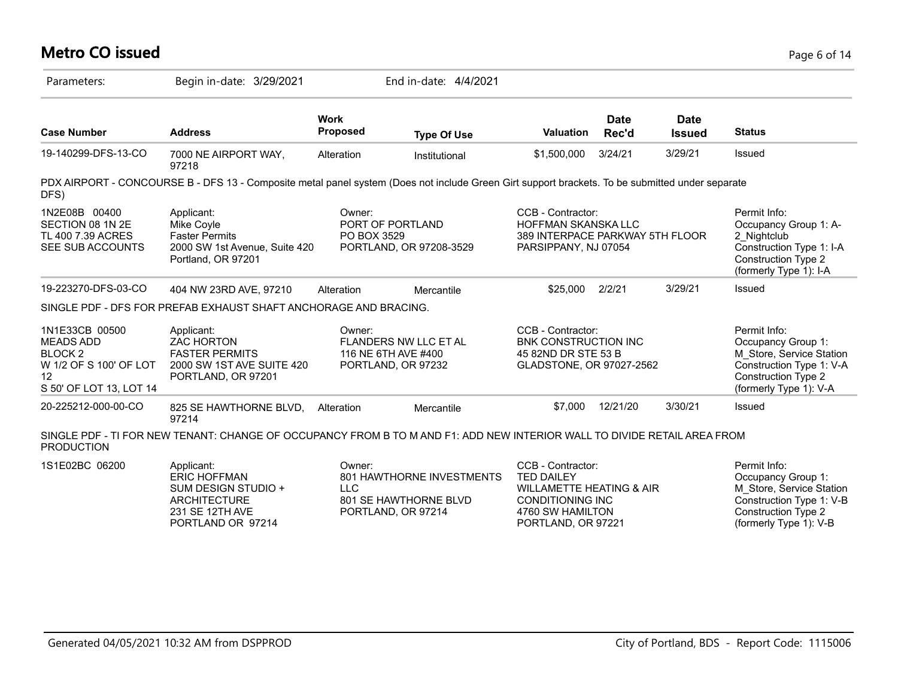# **Metro CO issued** Page 6 of 14 Parameters: Begin in-date: 3/29/2021 End in-date: 4/4/2021

| <b>Address</b>                                                                                              | <b>Work</b><br>Proposed | <b>Type Of Use</b>            | <b>Valuation</b>                                                                                                                                                                                            | <b>Date</b><br>Rec'd | <b>Date</b><br><b>Issued</b>                                                                                                                      | <b>Status</b>                                                                                                                                                                                                  |
|-------------------------------------------------------------------------------------------------------------|-------------------------|-------------------------------|-------------------------------------------------------------------------------------------------------------------------------------------------------------------------------------------------------------|----------------------|---------------------------------------------------------------------------------------------------------------------------------------------------|----------------------------------------------------------------------------------------------------------------------------------------------------------------------------------------------------------------|
| 7000 NE AIRPORT WAY,<br>97218                                                                               | Alteration              | Institutional                 | \$1,500,000                                                                                                                                                                                                 | 3/24/21              | 3/29/21                                                                                                                                           | <b>Issued</b>                                                                                                                                                                                                  |
|                                                                                                             |                         |                               |                                                                                                                                                                                                             |                      |                                                                                                                                                   |                                                                                                                                                                                                                |
| Applicant:<br>Mike Coyle<br><b>Faster Permits</b><br>Portland, OR 97201                                     | Owner:                  |                               |                                                                                                                                                                                                             |                      |                                                                                                                                                   | Permit Info:<br>Occupancy Group 1: A-<br>2_Nightclub<br>Construction Type 1: I-A<br>Construction Type 2<br>(formerly Type 1): I-A                                                                              |
| 404 NW 23RD AVE, 97210                                                                                      | Alteration              | Mercantile                    | \$25,000                                                                                                                                                                                                    | 2/2/21               | 3/29/21                                                                                                                                           | Issued                                                                                                                                                                                                         |
|                                                                                                             |                         |                               |                                                                                                                                                                                                             |                      |                                                                                                                                                   |                                                                                                                                                                                                                |
| Applicant:<br><b>ZAC HORTON</b><br><b>FASTER PERMITS</b><br>2000 SW 1ST AVE SUITE 420<br>PORTLAND, OR 97201 | Owner:                  |                               |                                                                                                                                                                                                             |                      |                                                                                                                                                   | Permit Info:<br>Occupancy Group 1:<br>M_Store, Service Station<br>Construction Type 1: V-A<br><b>Construction Type 2</b><br>(formerly Type 1): V-A                                                             |
| 825 SE HAWTHORNE BLVD,<br>97214                                                                             | Alteration              | Mercantile                    | \$7.000                                                                                                                                                                                                     | 12/21/20             | 3/30/21                                                                                                                                           | <b>Issued</b>                                                                                                                                                                                                  |
|                                                                                                             |                         | 2000 SW 1st Avenue, Suite 420 | PORT OF PORTLAND<br>PO BOX 3529<br>PORTLAND, OR 97208-3529<br>SINGLE PDF - DFS FOR PREFAB EXHAUST SHAFT ANCHORAGE AND BRACING.<br><b>FLANDERS NW LLC ET AL</b><br>116 NE 6TH AVE #400<br>PORTLAND, OR 97232 |                      | CCB - Contractor:<br><b>HOFFMAN SKANSKALLC</b><br>PARSIPPANY, NJ 07054<br>CCB - Contractor:<br><b>BNK CONSTRUCTION INC</b><br>45 82ND DR STE 53 B | PDX AIRPORT - CONCOURSE B - DFS 13 - Composite metal panel system (Does not include Green Girt support brackets. To be submitted under separate<br>389 INTERPACE PARKWAY 5TH FLOOR<br>GLADSTONE, OR 97027-2562 |

| 1S1E02BC 06200 | Applicant:          | Owner:                    | CCB - Contractor:        | Permit Info:             |
|----------------|---------------------|---------------------------|--------------------------|--------------------------|
|                | <b>ERIC HOFFMAN</b> | 801 HAWTHORNE INVESTMENTS | <b>TED DAILEY</b>        | Occupancy Group 1:       |
|                | SUM DESIGN STUDIO + | LLC                       | WILLAMETTE HEATING & AIR | M Store, Service Station |
|                | ARCHITECTURE        | 801 SE HAWTHORNE BLVD     | CONDITIONING INC         | Construction Type 1: V-B |
|                | 231 SE 12TH AVE     | PORTLAND, OR 97214        | 4760 SW HAMILTON         | Construction Type 2      |
|                | PORTLAND OR 97214   |                           | PORTLAND, OR 97221       | (formerly Type 1): $V-B$ |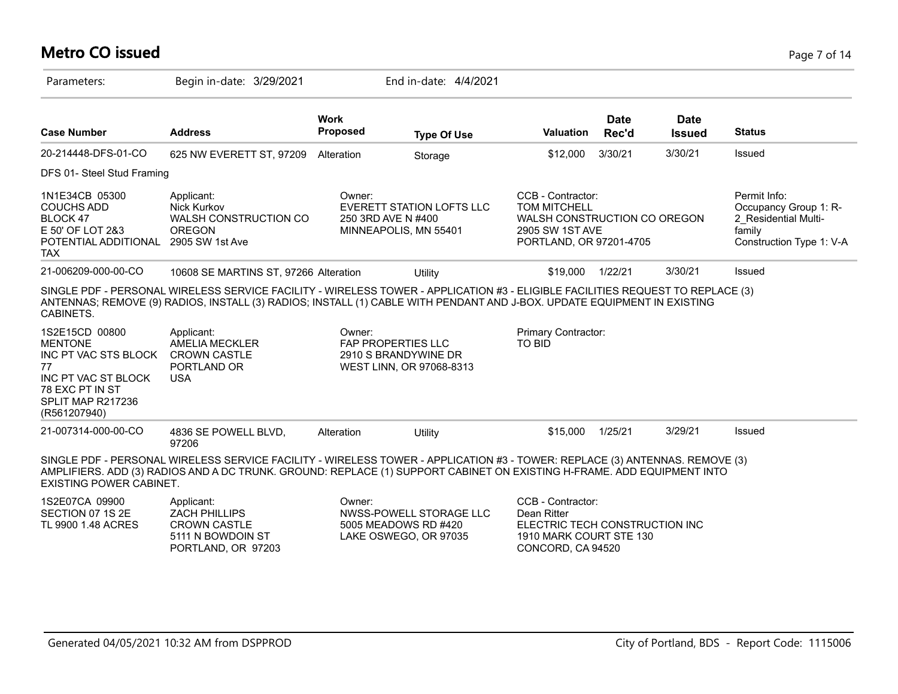#### **Metro CO issued** Page 7 of 14

| Parameters:                                                                                                                                   | Begin in-date: 3/29/2021                                                                                                                                                                                                                                  |                                     | End in-date: 4/4/2021                                                    |                                                                                                                        |                      |                              |                                                                                                     |
|-----------------------------------------------------------------------------------------------------------------------------------------------|-----------------------------------------------------------------------------------------------------------------------------------------------------------------------------------------------------------------------------------------------------------|-------------------------------------|--------------------------------------------------------------------------|------------------------------------------------------------------------------------------------------------------------|----------------------|------------------------------|-----------------------------------------------------------------------------------------------------|
| <b>Case Number</b>                                                                                                                            | <b>Address</b>                                                                                                                                                                                                                                            | <b>Work</b><br><b>Proposed</b>      | <b>Type Of Use</b>                                                       | <b>Valuation</b>                                                                                                       | <b>Date</b><br>Rec'd | <b>Date</b><br><b>Issued</b> | <b>Status</b>                                                                                       |
| 20-214448-DFS-01-CO                                                                                                                           | 625 NW EVERETT ST, 97209                                                                                                                                                                                                                                  | Alteration                          | Storage                                                                  | \$12,000                                                                                                               | 3/30/21              | 3/30/21                      | Issued                                                                                              |
| DFS 01- Steel Stud Framing                                                                                                                    |                                                                                                                                                                                                                                                           |                                     |                                                                          |                                                                                                                        |                      |                              |                                                                                                     |
| 1N1E34CB 05300<br><b>COUCHS ADD</b><br>BLOCK 47<br>E 50' OF LOT 2&3<br>POTENTIAL ADDITIONAL<br><b>TAX</b>                                     | Applicant:<br>Nick Kurkov<br>WALSH CONSTRUCTION CO<br><b>OREGON</b><br>2905 SW 1st Ave                                                                                                                                                                    | Owner:<br>250 3RD AVE N #400        | EVERETT STATION LOFTS LLC<br>MINNEAPOLIS, MN 55401                       | CCB - Contractor:<br><b>TOM MITCHELL</b><br>WALSH CONSTRUCTION CO OREGON<br>2905 SW 1ST AVE<br>PORTLAND, OR 97201-4705 |                      |                              | Permit Info:<br>Occupancy Group 1: R-<br>2 Residential Multi-<br>family<br>Construction Type 1: V-A |
| 21-006209-000-00-CO                                                                                                                           | 10608 SE MARTINS ST, 97266 Alteration                                                                                                                                                                                                                     |                                     | Utility                                                                  | \$19,000                                                                                                               | 1/22/21              | 3/30/21                      | Issued                                                                                              |
| CABINETS.                                                                                                                                     | SINGLE PDF - PERSONAL WIRELESS SERVICE FACILITY - WIRELESS TOWER - APPLICATION #3 - ELIGIBLE FACILITIES REQUEST TO REPLACE (3)<br>ANTENNAS; REMOVE (9) RADIOS, INSTALL (3) RADIOS; INSTALL (1) CABLE WITH PENDANT AND J-BOX. UPDATE EQUIPMENT IN EXISTING |                                     |                                                                          |                                                                                                                        |                      |                              |                                                                                                     |
| 1S2E15CD 00800<br><b>MENTONE</b><br>INC PT VAC STS BLOCK<br>77<br>INC PT VAC ST BLOCK<br>78 EXC PT IN ST<br>SPLIT MAP R217236<br>(R561207940) | Applicant:<br><b>AMELIA MECKLER</b><br><b>CROWN CASTLE</b><br>PORTLAND OR<br><b>USA</b>                                                                                                                                                                   | Owner:<br><b>FAP PROPERTIES LLC</b> | 2910 S BRANDYWINE DR<br>WEST LINN, OR 97068-8313                         | <b>Primary Contractor:</b><br>TO BID                                                                                   |                      |                              |                                                                                                     |
| 21-007314-000-00-CO                                                                                                                           | 4836 SE POWELL BLVD,<br>97206                                                                                                                                                                                                                             | Alteration                          | Utility                                                                  | \$15,000                                                                                                               | 1/25/21              | 3/29/21                      | Issued                                                                                              |
| <b>EXISTING POWER CABINET.</b>                                                                                                                | SINGLE PDF - PERSONAL WIRELESS SERVICE FACILITY - WIRELESS TOWER - APPLICATION #3 - TOWER: REPLACE (3) ANTENNAS. REMOVE (3)<br>AMPLIFIERS. ADD (3) RADIOS AND A DC TRUNK. GROUND: REPLACE (1) SUPPORT CABINET ON EXISTING H-FRAME. ADD EQUIPMENT INTO     |                                     |                                                                          |                                                                                                                        |                      |                              |                                                                                                     |
| 1S2E07CA 09900<br>SECTION 07 1S 2E<br>TL 9900 1.48 ACRES                                                                                      | Applicant:<br><b>ZACH PHILLIPS</b><br><b>CROWN CASTLE</b><br>5111 N BOWDOIN ST<br>PORTLAND, OR 97203                                                                                                                                                      | Owner:                              | NWSS-POWELL STORAGE LLC<br>5005 MEADOWS RD #420<br>LAKE OSWEGO, OR 97035 | CCB - Contractor:<br>Dean Ritter<br>ELECTRIC TECH CONSTRUCTION INC<br>1910 MARK COURT STE 130<br>CONCORD, CA 94520     |                      |                              |                                                                                                     |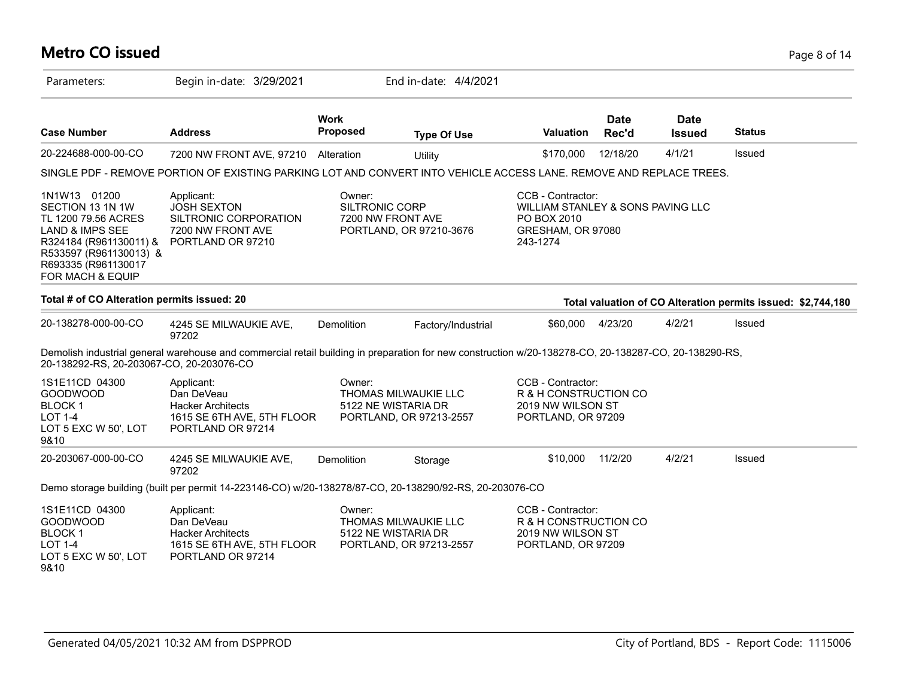# **Metro CO issued** Page 8 of 14

| Parameters:                                                                                                                                                                          | Begin in-date: 3/29/2021                                                                                                                             |                                 | End in-date: 4/4/2021                                                  |                                                                                                        |                      |                              |                                                              |
|--------------------------------------------------------------------------------------------------------------------------------------------------------------------------------------|------------------------------------------------------------------------------------------------------------------------------------------------------|---------------------------------|------------------------------------------------------------------------|--------------------------------------------------------------------------------------------------------|----------------------|------------------------------|--------------------------------------------------------------|
| <b>Case Number</b>                                                                                                                                                                   | <b>Address</b>                                                                                                                                       | <b>Work</b><br>Proposed         | <b>Type Of Use</b>                                                     | Valuation                                                                                              | <b>Date</b><br>Rec'd | <b>Date</b><br><b>Issued</b> | <b>Status</b>                                                |
| 20-224688-000-00-CO                                                                                                                                                                  | 7200 NW FRONT AVE, 97210                                                                                                                             | Alteration                      | Utility                                                                | \$170,000                                                                                              | 12/18/20             | 4/1/21                       | Issued                                                       |
|                                                                                                                                                                                      | SINGLE PDF - REMOVE PORTION OF EXISTING PARKING LOT AND CONVERT INTO VEHICLE ACCESS LANE. REMOVE AND REPLACE TREES.                                  |                                 |                                                                        |                                                                                                        |                      |                              |                                                              |
| 1N1W13 01200<br>SECTION 13 1N 1W<br>TL 1200 79.56 ACRES<br><b>LAND &amp; IMPS SEE</b><br>R324184 (R961130011) &<br>R533597 (R961130013) &<br>R693335 (R961130017<br>FOR MACH & EQUIP | Applicant:<br><b>JOSH SEXTON</b><br>SILTRONIC CORPORATION<br>7200 NW FRONT AVE<br>PORTLAND OR 97210                                                  | Owner:<br><b>SILTRONIC CORP</b> | 7200 NW FRONT AVE<br>PORTLAND, OR 97210-3676                           | CCB - Contractor:<br>WILLIAM STANLEY & SONS PAVING LLC<br>PO BOX 2010<br>GRESHAM, OR 97080<br>243-1274 |                      |                              |                                                              |
| Total # of CO Alteration permits issued: 20                                                                                                                                          |                                                                                                                                                      |                                 |                                                                        |                                                                                                        |                      |                              | Total valuation of CO Alteration permits issued: \$2,744,180 |
| 20-138278-000-00-CO                                                                                                                                                                  | 4245 SE MILWAUKIE AVE,<br>97202                                                                                                                      | Demolition                      | Factory/Industrial                                                     | \$60,000                                                                                               | 4/23/20              | 4/2/21                       | Issued                                                       |
| 20-138292-RS, 20-203067-CO, 20-203076-CO                                                                                                                                             | Demolish industrial general warehouse and commercial retail building in preparation for new construction w/20-138278-CO, 20-138287-CO, 20-138290-RS, |                                 |                                                                        |                                                                                                        |                      |                              |                                                              |
| 1S1E11CD 04300<br><b>GOODWOOD</b><br><b>BLOCK1</b><br><b>LOT 1-4</b><br>LOT 5 EXC W 50', LOT<br>9&10                                                                                 | Applicant:<br>Dan DeVeau<br><b>Hacker Architects</b><br>1615 SE 6TH AVE, 5TH FLOOR<br>PORTLAND OR 97214                                              | Owner:                          | THOMAS MILWAUKIE LLC<br>5122 NE WISTARIA DR<br>PORTLAND, OR 97213-2557 | CCB - Contractor:<br>R & H CONSTRUCTION CO<br>2019 NW WILSON ST<br>PORTLAND, OR 97209                  |                      |                              |                                                              |
| 20-203067-000-00-CO                                                                                                                                                                  | 4245 SE MILWAUKIE AVE,<br>97202                                                                                                                      | Demolition                      | Storage                                                                | \$10,000                                                                                               | 11/2/20              | 4/2/21                       | Issued                                                       |
|                                                                                                                                                                                      | Demo storage building (built per permit 14-223146-CO) w/20-138278/87-CO, 20-138290/92-RS, 20-203076-CO                                               |                                 |                                                                        |                                                                                                        |                      |                              |                                                              |
| 1S1E11CD 04300<br><b>GOODWOOD</b><br><b>BLOCK1</b><br><b>LOT 1-4</b><br>LOT 5 EXC W 50', LOT<br>9&10                                                                                 | Applicant:<br>Dan DeVeau<br><b>Hacker Architects</b><br>1615 SE 6TH AVE, 5TH FLOOR<br>PORTLAND OR 97214                                              | Owner:                          | THOMAS MILWAUKIE LLC<br>5122 NE WISTARIA DR<br>PORTLAND, OR 97213-2557 | CCB - Contractor:<br>R & H CONSTRUCTION CO<br>2019 NW WILSON ST<br>PORTLAND, OR 97209                  |                      |                              |                                                              |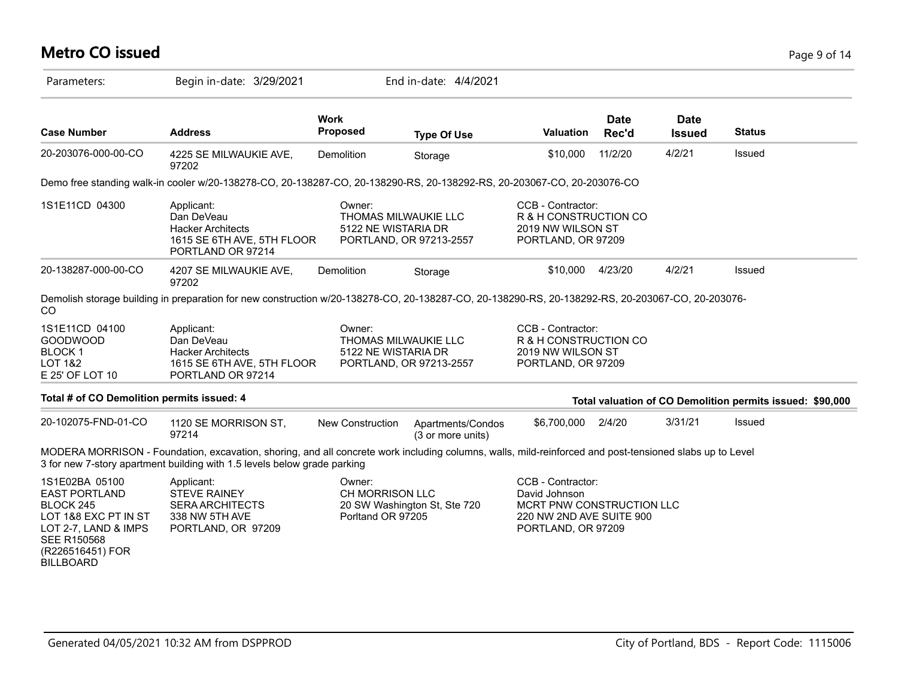# **Metro CO issued** Page 9 of 14

| Parameters:                                                                                                                                                       | Begin in-date: 3/29/2021                                                                                                                                                                                                            |                                                | End in-date: 4/4/2021                                                  |                                                                                                                   |                      |                       |                                                           |
|-------------------------------------------------------------------------------------------------------------------------------------------------------------------|-------------------------------------------------------------------------------------------------------------------------------------------------------------------------------------------------------------------------------------|------------------------------------------------|------------------------------------------------------------------------|-------------------------------------------------------------------------------------------------------------------|----------------------|-----------------------|-----------------------------------------------------------|
| <b>Case Number</b>                                                                                                                                                | <b>Address</b>                                                                                                                                                                                                                      | <b>Work</b><br>Proposed                        | <b>Type Of Use</b>                                                     | Valuation                                                                                                         | <b>Date</b><br>Rec'd | Date<br><b>Issued</b> | <b>Status</b>                                             |
| 20-203076-000-00-CO                                                                                                                                               | 4225 SE MILWAUKIE AVE,<br>97202                                                                                                                                                                                                     | Demolition                                     | Storage                                                                | \$10,000                                                                                                          | 11/2/20              | 4/2/21                | Issued                                                    |
|                                                                                                                                                                   | Demo free standing walk-in cooler w/20-138278-CO, 20-138287-CO, 20-138290-RS, 20-138292-RS, 20-203067-CO, 20-203076-CO                                                                                                              |                                                |                                                                        |                                                                                                                   |                      |                       |                                                           |
| 1S1E11CD 04300                                                                                                                                                    | Applicant:<br>Dan DeVeau<br><b>Hacker Architects</b><br>1615 SE 6TH AVE, 5TH FLOOR<br>PORTLAND OR 97214                                                                                                                             | Owner:                                         | THOMAS MILWAUKIE LLC<br>5122 NE WISTARIA DR<br>PORTLAND, OR 97213-2557 | CCB - Contractor:<br>R & H CONSTRUCTION CO<br>2019 NW WILSON ST<br>PORTLAND, OR 97209                             |                      |                       |                                                           |
| 20-138287-000-00-CO                                                                                                                                               | 4207 SE MILWAUKIE AVE,<br>97202                                                                                                                                                                                                     | Demolition                                     | Storage                                                                | \$10,000                                                                                                          | 4/23/20              | 4/2/21                | Issued                                                    |
| <sub>CO</sub>                                                                                                                                                     | Demolish storage building in preparation for new construction w/20-138278-CO, 20-138287-CO, 20-138290-RS, 20-138292-RS, 20-203067-CO, 20-203076-                                                                                    |                                                |                                                                        |                                                                                                                   |                      |                       |                                                           |
| 1S1E11CD 04100<br>GOODWOOD<br><b>BLOCK1</b><br><b>LOT 1&amp;2</b><br>E 25' OF LOT 10                                                                              | Applicant:<br>Dan DeVeau<br><b>Hacker Architects</b><br>1615 SE 6TH AVE, 5TH FLOOR<br>PORTLAND OR 97214                                                                                                                             | Owner:                                         | THOMAS MILWAUKIE LLC<br>5122 NE WISTARIA DR<br>PORTLAND, OR 97213-2557 | CCB - Contractor:<br>R & H CONSTRUCTION CO<br>2019 NW WILSON ST<br>PORTLAND, OR 97209                             |                      |                       |                                                           |
| Total # of CO Demolition permits issued: 4                                                                                                                        |                                                                                                                                                                                                                                     |                                                |                                                                        |                                                                                                                   |                      |                       | Total valuation of CO Demolition permits issued: \$90,000 |
| 20-102075-FND-01-CO                                                                                                                                               | 1120 SE MORRISON ST,<br>97214                                                                                                                                                                                                       | <b>New Construction</b>                        | Apartments/Condos<br>(3 or more units)                                 | \$6,700,000                                                                                                       | 2/4/20               | 3/31/21               | Issued                                                    |
|                                                                                                                                                                   | MODERA MORRISON - Foundation, excavation, shoring, and all concrete work including columns, walls, mild-reinforced and post-tensioned slabs up to Level<br>3 for new 7-story apartment building with 1.5 levels below grade parking |                                                |                                                                        |                                                                                                                   |                      |                       |                                                           |
| 1S1E02BA 05100<br><b>EAST PORTLAND</b><br>BLOCK 245<br>LOT 1&8 EXC PT IN ST<br>LOT 2-7, LAND & IMPS<br><b>SEE R150568</b><br>(R226516451) FOR<br><b>BILLBOARD</b> | Applicant:<br><b>STEVE RAINEY</b><br><b>SERA ARCHITECTS</b><br>338 NW 5TH AVE<br>PORTLAND, OR 97209                                                                                                                                 | Owner:<br>CH MORRISON LLC<br>Porltand OR 97205 | 20 SW Washington St, Ste 720                                           | CCB - Contractor:<br>David Johnson<br>MCRT PNW CONSTRUCTION LLC<br>220 NW 2ND AVE SUITE 900<br>PORTLAND, OR 97209 |                      |                       |                                                           |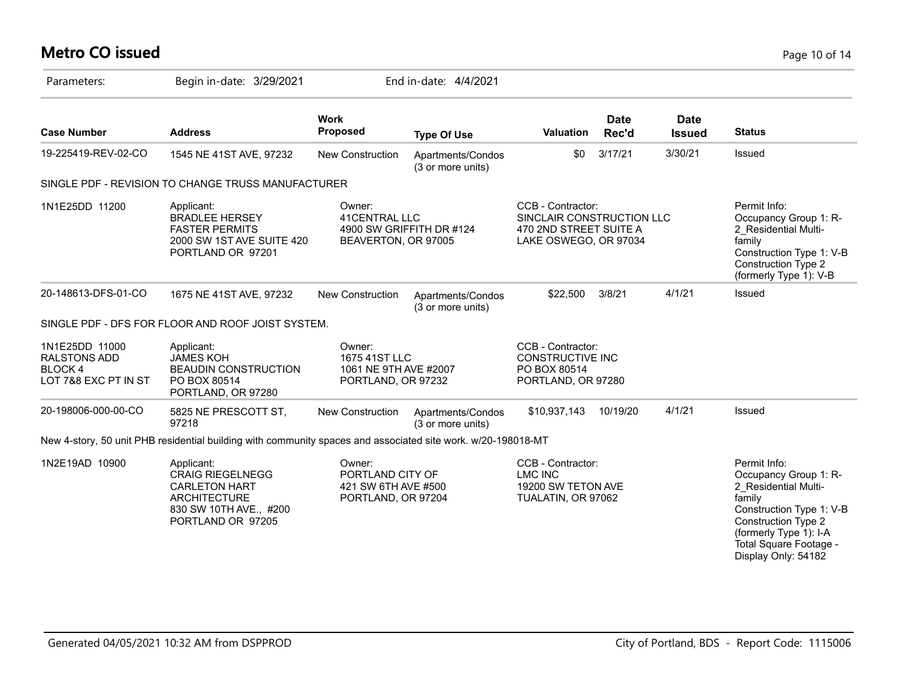# **Metro CO issued** Page 10 of 14

| Parameters:                                                                    | Begin in-date: 3/29/2021                                                                                                            |                                                                         | End in-date: 4/4/2021                  |                                                                                                   |                      |                              |                                                                                                                                                                                                       |
|--------------------------------------------------------------------------------|-------------------------------------------------------------------------------------------------------------------------------------|-------------------------------------------------------------------------|----------------------------------------|---------------------------------------------------------------------------------------------------|----------------------|------------------------------|-------------------------------------------------------------------------------------------------------------------------------------------------------------------------------------------------------|
| <b>Case Number</b>                                                             | <b>Address</b>                                                                                                                      | <b>Work</b><br><b>Proposed</b>                                          | <b>Type Of Use</b>                     | <b>Valuation</b>                                                                                  | <b>Date</b><br>Rec'd | <b>Date</b><br><b>Issued</b> | <b>Status</b>                                                                                                                                                                                         |
| 19-225419-REV-02-CO                                                            | 1545 NE 41ST AVE, 97232                                                                                                             | <b>New Construction</b>                                                 | Apartments/Condos<br>(3 or more units) | \$0                                                                                               | 3/17/21              | 3/30/21                      | Issued                                                                                                                                                                                                |
|                                                                                | SINGLE PDF - REVISION TO CHANGE TRUSS MANUFACTURER                                                                                  |                                                                         |                                        |                                                                                                   |                      |                              |                                                                                                                                                                                                       |
| 1N1E25DD 11200                                                                 | Applicant:<br><b>BRADLEE HERSEY</b><br><b>FASTER PERMITS</b><br>2000 SW 1ST AVE SUITE 420<br>PORTLAND OR 97201                      | Owner:<br>41 CENTRAL LLC<br>BEAVERTON, OR 97005                         | 4900 SW GRIFFITH DR #124               | CCB - Contractor:<br>SINCLAIR CONSTRUCTION LLC<br>470 2ND STREET SUITE A<br>LAKE OSWEGO, OR 97034 |                      |                              | Permit Info:<br>Occupancy Group 1: R-<br>2 Residential Multi-<br>family<br>Construction Type 1: V-B<br><b>Construction Type 2</b><br>(formerly Type 1): V-B                                           |
| 20-148613-DFS-01-CO                                                            | 1675 NE 41ST AVE, 97232                                                                                                             | <b>New Construction</b>                                                 | Apartments/Condos<br>(3 or more units) | \$22,500                                                                                          | 3/8/21               | 4/1/21                       | <b>Issued</b>                                                                                                                                                                                         |
|                                                                                | SINGLE PDF - DFS FOR FLOOR AND ROOF JOIST SYSTEM.                                                                                   |                                                                         |                                        |                                                                                                   |                      |                              |                                                                                                                                                                                                       |
| 1N1E25DD 11000<br><b>RALSTONS ADD</b><br><b>BLOCK4</b><br>LOT 7&8 EXC PT IN ST | Applicant:<br><b>JAMES KOH</b><br><b>BEAUDIN CONSTRUCTION</b><br>PO BOX 80514<br>PORTLAND, OR 97280                                 | Owner:<br>1675 41ST LLC<br>1061 NE 9TH AVE #2007<br>PORTLAND, OR 97232  |                                        | CCB - Contractor:<br><b>CONSTRUCTIVE INC</b><br>PO BOX 80514<br>PORTLAND, OR 97280                |                      |                              |                                                                                                                                                                                                       |
| 20-198006-000-00-CO                                                            | 5825 NE PRESCOTT ST,<br>97218                                                                                                       | New Construction                                                        | Apartments/Condos<br>(3 or more units) | \$10,937,143                                                                                      | 10/19/20             | 4/1/21                       | Issued                                                                                                                                                                                                |
|                                                                                | New 4-story, 50 unit PHB residential building with community spaces and associated site work. w/20-198018-MT                        |                                                                         |                                        |                                                                                                   |                      |                              |                                                                                                                                                                                                       |
| 1N2E19AD 10900                                                                 | Applicant:<br><b>CRAIG RIEGELNEGG</b><br><b>CARLETON HART</b><br><b>ARCHITECTURE</b><br>830 SW 10TH AVE., #200<br>PORTLAND OR 97205 | Owner:<br>PORTLAND CITY OF<br>421 SW 6TH AVE #500<br>PORTLAND, OR 97204 |                                        | CCB - Contractor:<br><b>LMC INC</b><br>19200 SW TETON AVE<br>TUALATIN, OR 97062                   |                      |                              | Permit Info:<br>Occupancy Group 1: R-<br>2_Residential Multi-<br>family<br>Construction Type 1: V-B<br>Construction Type 2<br>(formerly Type 1): I-A<br>Total Square Footage -<br>Display Only: 54182 |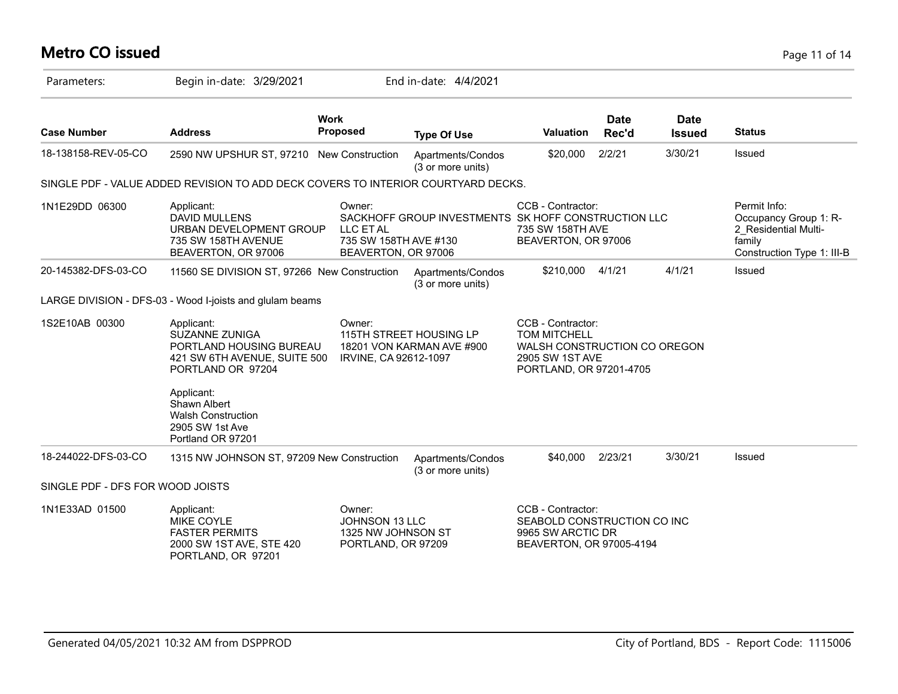# **Metro CO issued** Page 11 of 14

| Parameters:                      | Begin in-date: 3/29/2021                                                                                                          |                                                                      | End in-date: 4/4/2021                                |                                                                                                                        |                      |                              |                                                                                                       |
|----------------------------------|-----------------------------------------------------------------------------------------------------------------------------------|----------------------------------------------------------------------|------------------------------------------------------|------------------------------------------------------------------------------------------------------------------------|----------------------|------------------------------|-------------------------------------------------------------------------------------------------------|
| <b>Case Number</b>               | <b>Address</b>                                                                                                                    | <b>Work</b><br>Proposed                                              | <b>Type Of Use</b>                                   | Valuation                                                                                                              | <b>Date</b><br>Rec'd | <b>Date</b><br><b>Issued</b> | <b>Status</b>                                                                                         |
| 18-138158-REV-05-CO              | 2590 NW UPSHUR ST, 97210 New Construction                                                                                         |                                                                      | Apartments/Condos<br>(3 or more units)               | \$20,000                                                                                                               | 2/2/21               | 3/30/21                      | Issued                                                                                                |
|                                  | SINGLE PDF - VALUE ADDED REVISION TO ADD DECK COVERS TO INTERIOR COURTYARD DECKS.                                                 |                                                                      |                                                      |                                                                                                                        |                      |                              |                                                                                                       |
| 1N1E29DD 06300                   | Applicant:<br><b>DAVID MULLENS</b><br>URBAN DEVELOPMENT GROUP<br>735 SW 158TH AVENUE<br>BEAVERTON, OR 97006                       | Owner:<br>LLC ET AL<br>735 SW 158TH AVE #130<br>BEAVERTON, OR 97006  | SACKHOFF GROUP INVESTMENTS SK HOFF CONSTRUCTION LLC  | CCB - Contractor:<br>735 SW 158TH AVE<br>BEAVERTON, OR 97006                                                           |                      |                              | Permit Info:<br>Occupancy Group 1: R-<br>2 Residential Multi-<br>family<br>Construction Type 1: III-B |
| 20-145382-DFS-03-CO              | 11560 SE DIVISION ST, 97266 New Construction                                                                                      |                                                                      | Apartments/Condos<br>(3 or more units)               | \$210,000                                                                                                              | 4/1/21               | 4/1/21                       | Issued                                                                                                |
|                                  | LARGE DIVISION - DFS-03 - Wood I-joists and glulam beams                                                                          |                                                                      |                                                      |                                                                                                                        |                      |                              |                                                                                                       |
| 1S2E10AB 00300                   | Applicant:<br><b>SUZANNE ZUNIGA</b><br>PORTLAND HOUSING BUREAU<br>421 SW 6TH AVENUE, SUITE 500<br>PORTLAND OR 97204<br>Applicant: | Owner:<br>IRVINE, CA 92612-1097                                      | 115TH STREET HOUSING LP<br>18201 VON KARMAN AVE #900 | CCB - Contractor:<br><b>TOM MITCHELL</b><br>WALSH CONSTRUCTION CO OREGON<br>2905 SW 1ST AVE<br>PORTLAND, OR 97201-4705 |                      |                              |                                                                                                       |
|                                  | Shawn Albert<br><b>Walsh Construction</b><br>2905 SW 1st Ave<br>Portland OR 97201                                                 |                                                                      |                                                      |                                                                                                                        |                      |                              |                                                                                                       |
| 18-244022-DFS-03-CO              | 1315 NW JOHNSON ST, 97209 New Construction                                                                                        |                                                                      | Apartments/Condos<br>(3 or more units)               | \$40,000                                                                                                               | 2/23/21              | 3/30/21                      | Issued                                                                                                |
| SINGLE PDF - DFS FOR WOOD JOISTS |                                                                                                                                   |                                                                      |                                                      |                                                                                                                        |                      |                              |                                                                                                       |
| 1N1E33AD 01500                   | Applicant:<br><b>MIKE COYLE</b><br><b>FASTER PERMITS</b><br>2000 SW 1ST AVE, STE 420<br>PORTLAND, OR 97201                        | Owner:<br>JOHNSON 13 LLC<br>1325 NW JOHNSON ST<br>PORTLAND, OR 97209 |                                                      | CCB - Contractor:<br>SEABOLD CONSTRUCTION CO INC<br>9965 SW ARCTIC DR<br>BEAVERTON, OR 97005-4194                      |                      |                              |                                                                                                       |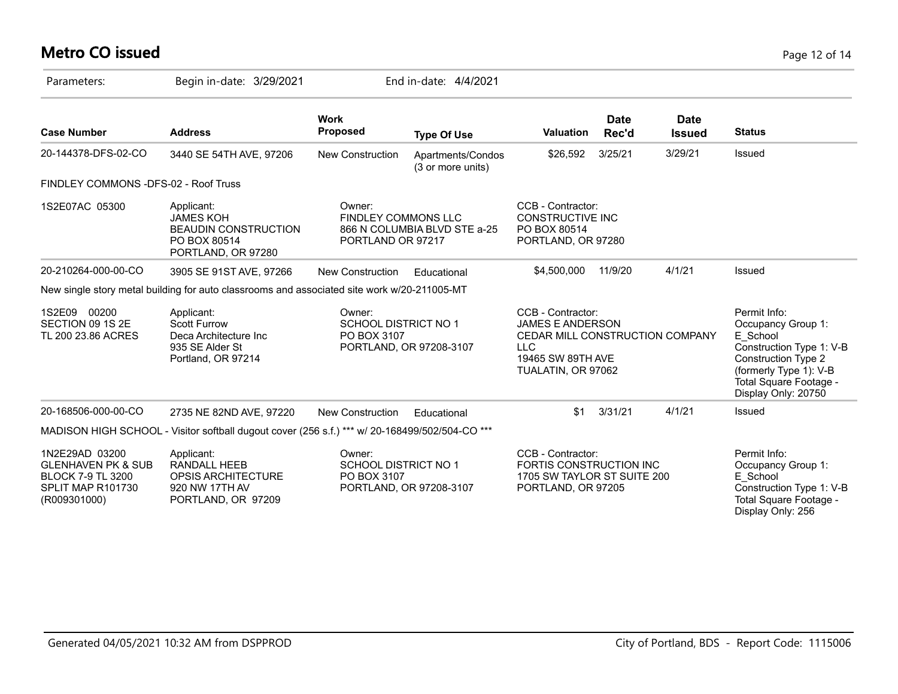# **Metro CO issued** Page 12 of 14

| Parameters:                                                                                                      | Begin in-date: 3/29/2021                                                                            | End in-date: 4/4/2021                                                           |                                        |                                                                                                                                          |               |                              |                                                                                                                                                                                     |
|------------------------------------------------------------------------------------------------------------------|-----------------------------------------------------------------------------------------------------|---------------------------------------------------------------------------------|----------------------------------------|------------------------------------------------------------------------------------------------------------------------------------------|---------------|------------------------------|-------------------------------------------------------------------------------------------------------------------------------------------------------------------------------------|
| <b>Case Number</b>                                                                                               | <b>Address</b>                                                                                      | <b>Work</b><br><b>Proposed</b>                                                  | <b>Type Of Use</b>                     | <b>Valuation</b>                                                                                                                         | Date<br>Rec'd | <b>Date</b><br><b>Issued</b> | <b>Status</b>                                                                                                                                                                       |
| 20-144378-DFS-02-CO                                                                                              | 3440 SE 54TH AVE, 97206                                                                             | <b>New Construction</b>                                                         | Apartments/Condos<br>(3 or more units) | \$26,592                                                                                                                                 | 3/25/21       | 3/29/21                      | Issued                                                                                                                                                                              |
| FINDLEY COMMONS -DFS-02 - Roof Truss                                                                             |                                                                                                     |                                                                                 |                                        |                                                                                                                                          |               |                              |                                                                                                                                                                                     |
| 1S2E07AC 05300                                                                                                   | Applicant:<br><b>JAMES KOH</b><br><b>BEAUDIN CONSTRUCTION</b><br>PO BOX 80514<br>PORTLAND, OR 97280 | Owner:<br><b>FINDLEY COMMONS LLC</b><br>PORTLAND OR 97217                       | 866 N COLUMBIA BLVD STE a-25           | CCB - Contractor:<br><b>CONSTRUCTIVE INC</b><br>PO BOX 80514<br>PORTLAND, OR 97280                                                       |               |                              |                                                                                                                                                                                     |
| 20-210264-000-00-CO                                                                                              | 3905 SE 91ST AVE, 97266                                                                             | <b>New Construction</b>                                                         | Educational                            | \$4,500,000                                                                                                                              | 11/9/20       | 4/1/21                       | Issued                                                                                                                                                                              |
|                                                                                                                  | New single story metal building for auto classrooms and associated site work w/20-211005-MT         |                                                                                 |                                        |                                                                                                                                          |               |                              |                                                                                                                                                                                     |
| 1S2E09 00200<br>SECTION 09 1S 2E<br>TL 200 23.86 ACRES                                                           | Applicant:<br><b>Scott Furrow</b><br>Deca Architecture Inc<br>935 SE Alder St<br>Portland, OR 97214 | Owner:<br><b>SCHOOL DISTRICT NO 1</b><br>PO BOX 3107<br>PORTLAND, OR 97208-3107 |                                        | CCB - Contractor:<br><b>JAMES E ANDERSON</b><br>CEDAR MILL CONSTRUCTION COMPANY<br><b>LLC</b><br>19465 SW 89TH AVE<br>TUALATIN, OR 97062 |               |                              | Permit Info:<br>Occupancy Group 1:<br>E School<br>Construction Type 1: V-B<br><b>Construction Type 2</b><br>(formerly Type 1): V-B<br>Total Square Footage -<br>Display Only: 20750 |
| 20-168506-000-00-CO                                                                                              | 2735 NE 82ND AVE, 97220                                                                             | New Construction                                                                | Educational                            | \$1                                                                                                                                      | 3/31/21       | 4/1/21                       | Issued                                                                                                                                                                              |
|                                                                                                                  | MADISON HIGH SCHOOL - Visitor softball dugout cover (256 s.f.) *** w/ 20-168499/502/504-CO ***      |                                                                                 |                                        |                                                                                                                                          |               |                              |                                                                                                                                                                                     |
| 1N2E29AD 03200<br><b>GLENHAVEN PK &amp; SUB</b><br><b>BLOCK 7-9 TL 3200</b><br>SPLIT MAP R101730<br>(R009301000) | Applicant:<br><b>RANDALL HEEB</b><br>OPSIS ARCHITECTURE<br>920 NW 17TH AV<br>PORTLAND, OR 97209     | Owner:<br>SCHOOL DISTRICT NO 1<br>PO BOX 3107                                   | PORTLAND, OR 97208-3107                | CCB - Contractor:<br>FORTIS CONSTRUCTION INC<br>1705 SW TAYLOR ST SUITE 200<br>PORTLAND, OR 97205                                        |               |                              | Permit Info:<br>Occupancy Group 1:<br>E School<br>Construction Type 1: V-B<br>Total Square Footage -<br>Display Only: 256                                                           |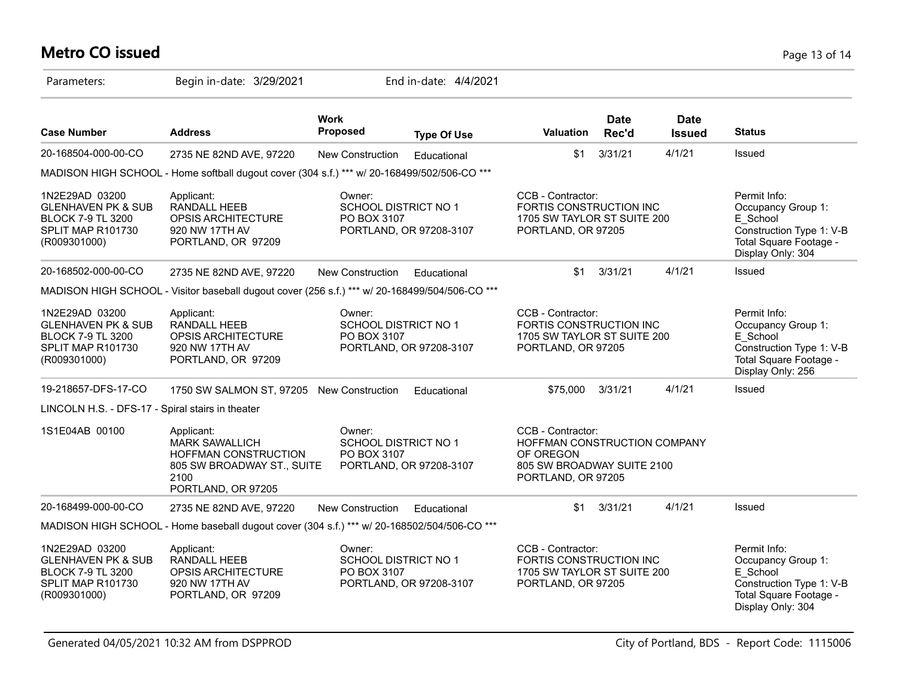# **Metro CO issued** Page 13 of 14

| Parameters:                                                                                                      | Begin in-date: 3/29/2021                                                                                                |                                                                                                                                                                                                | End in-date: 4/4/2021   |                                                                                                   |                      |                                                                                                                           |                                                                                                                           |
|------------------------------------------------------------------------------------------------------------------|-------------------------------------------------------------------------------------------------------------------------|------------------------------------------------------------------------------------------------------------------------------------------------------------------------------------------------|-------------------------|---------------------------------------------------------------------------------------------------|----------------------|---------------------------------------------------------------------------------------------------------------------------|---------------------------------------------------------------------------------------------------------------------------|
| <b>Case Number</b>                                                                                               | <b>Address</b>                                                                                                          | <b>Work</b><br>Proposed                                                                                                                                                                        | <b>Type Of Use</b>      | <b>Valuation</b>                                                                                  | <b>Date</b><br>Rec'd | <b>Date</b><br><b>Issued</b>                                                                                              | <b>Status</b>                                                                                                             |
| 20-168504-000-00-CO                                                                                              | 2735 NE 82ND AVE, 97220                                                                                                 | New Construction                                                                                                                                                                               | Educational             | \$1                                                                                               | 3/31/21              | 4/1/21                                                                                                                    | Issued                                                                                                                    |
|                                                                                                                  | MADISON HIGH SCHOOL - Home softball dugout cover (304 s.f.) *** w/ 20-168499/502/506-CO ***                             |                                                                                                                                                                                                |                         |                                                                                                   |                      |                                                                                                                           |                                                                                                                           |
| 1N2E29AD 03200<br><b>GLENHAVEN PK &amp; SUB</b><br><b>BLOCK 7-9 TL 3200</b><br>SPLIT MAP R101730<br>(R009301000) | Applicant:<br>RANDALL HEEB<br>OPSIS ARCHITECTURE<br>920 NW 17TH AV<br>PORTLAND, OR 97209                                | Owner:<br><b>SCHOOL DISTRICT NO 1</b><br>PO BOX 3107                                                                                                                                           | PORTLAND, OR 97208-3107 | CCB - Contractor:<br>FORTIS CONSTRUCTION INC<br>1705 SW TAYLOR ST SUITE 200<br>PORTLAND, OR 97205 |                      |                                                                                                                           | Permit Info:<br>Occupancy Group 1:<br>E School<br>Construction Type 1: V-B<br>Total Square Footage -<br>Display Only: 304 |
| 20-168502-000-00-CO                                                                                              | 2735 NE 82ND AVE, 97220                                                                                                 | New Construction                                                                                                                                                                               | Educational             | \$1                                                                                               | 3/31/21              | 4/1/21                                                                                                                    | Issued                                                                                                                    |
|                                                                                                                  | MADISON HIGH SCHOOL - Visitor baseball dugout cover (256 s.f.) *** w/ 20-168499/504/506-CO ***                          |                                                                                                                                                                                                |                         |                                                                                                   |                      |                                                                                                                           |                                                                                                                           |
| 1N2E29AD 03200<br><b>GLENHAVEN PK &amp; SUB</b><br><b>BLOCK 7-9 TL 3200</b><br>SPLIT MAP R101730<br>(R009301000) | Applicant:<br>RANDALL HEEB<br>OPSIS ARCHITECTURE<br>920 NW 17TH AV<br>PORTLAND, OR 97209                                | CCB - Contractor:<br>Owner:<br>SCHOOL DISTRICT NO 1<br>FORTIS CONSTRUCTION INC<br>PO BOX 3107<br>1705 SW TAYLOR ST SUITE 200<br>PORTLAND, OR 97208-3107<br>PORTLAND, OR 97205                  |                         |                                                                                                   |                      | Permit Info:<br>Occupancy Group 1:<br>E School<br>Construction Type 1: V-B<br>Total Square Footage -<br>Display Only: 256 |                                                                                                                           |
| 19-218657-DFS-17-CO                                                                                              | 1750 SW SALMON ST, 97205 New Construction                                                                               |                                                                                                                                                                                                | Educational             | \$75,000                                                                                          | 3/31/21              | 4/1/21                                                                                                                    | Issued                                                                                                                    |
| LINCOLN H.S. - DFS-17 - Spiral stairs in theater                                                                 |                                                                                                                         |                                                                                                                                                                                                |                         |                                                                                                   |                      |                                                                                                                           |                                                                                                                           |
| 1S1E04AB 00100                                                                                                   | Applicant:<br><b>MARK SAWALLICH</b><br>HOFFMAN CONSTRUCTION<br>805 SW BROADWAY ST., SUITE<br>2100<br>PORTLAND, OR 97205 | CCB - Contractor:<br>Owner:<br>SCHOOL DISTRICT NO 1<br>HOFFMAN CONSTRUCTION COMPANY<br>PO BOX 3107<br>OF OREGON<br>PORTLAND, OR 97208-3107<br>805 SW BROADWAY SUITE 2100<br>PORTLAND, OR 97205 |                         |                                                                                                   |                      |                                                                                                                           |                                                                                                                           |
| 20-168499-000-00-CO                                                                                              | 2735 NE 82ND AVE, 97220                                                                                                 | New Construction                                                                                                                                                                               | Educational             | \$1                                                                                               | 3/31/21              | 4/1/21                                                                                                                    | Issued                                                                                                                    |
|                                                                                                                  | MADISON HIGH SCHOOL - Home baseball dugout cover (304 s.f.) *** w/ 20-168502/504/506-CO ***                             |                                                                                                                                                                                                |                         |                                                                                                   |                      |                                                                                                                           |                                                                                                                           |
| 1N2E29AD 03200<br><b>GLENHAVEN PK &amp; SUB</b><br><b>BLOCK 7-9 TL 3200</b><br>SPLIT MAP R101730<br>(R009301000) | Applicant:<br>RANDALL HEEB<br>OPSIS ARCHITECTURE<br>920 NW 17TH AV<br>PORTLAND, OR 97209                                | Owner:<br><b>SCHOOL DISTRICT NO 1</b><br>PO BOX 3107                                                                                                                                           | PORTLAND, OR 97208-3107 | CCB - Contractor:<br>FORTIS CONSTRUCTION INC<br>1705 SW TAYLOR ST SUITE 200<br>PORTLAND, OR 97205 |                      |                                                                                                                           | Permit Info:<br>Occupancy Group 1:<br>E School<br>Construction Type 1: V-B<br>Total Square Footage -<br>Display Only: 304 |